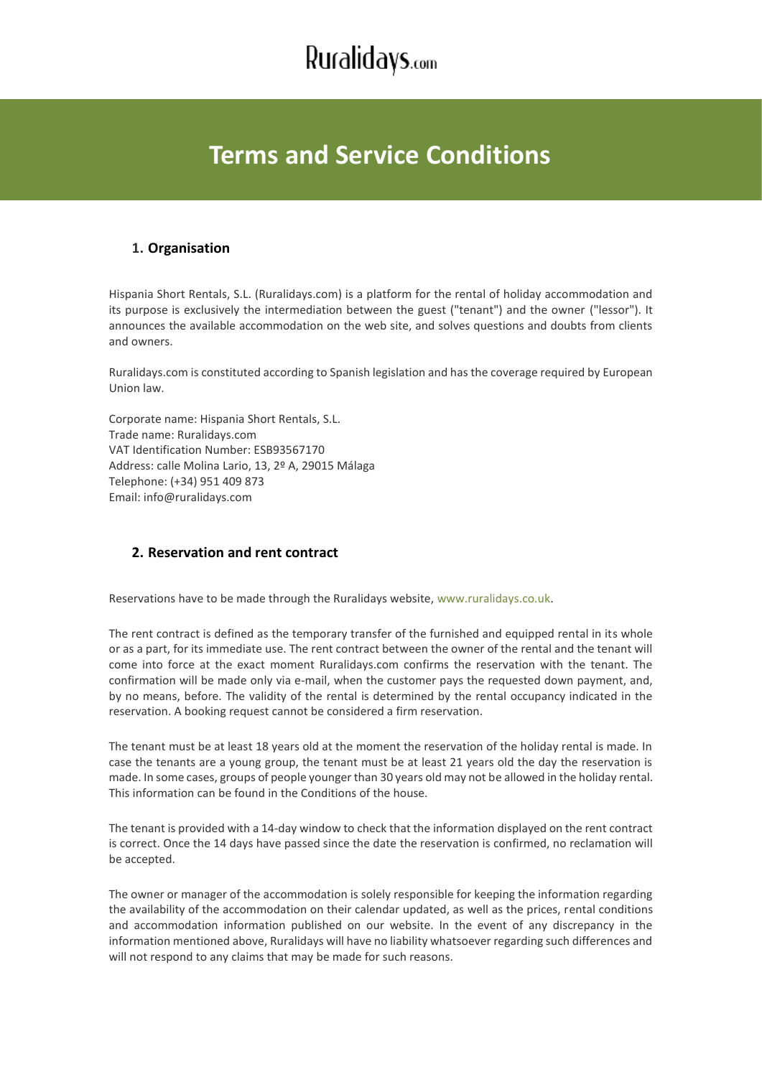## **Terms and Service Conditions**

### **1. Organisation**

Hispania Short Rentals, S.L. (Ruralidays.com) is a platform for the rental of holiday accommodation and its purpose is exclusively the intermediation between the guest ("tenant") and the owner ("lessor"). It announces the available accommodation on the web site, and solves questions and doubts from clients and owners.

Ruralidays.com is constituted according to Spanish legislation and has the coverage required by European Union law.

Corporate name: Hispania Short Rentals, S.L. Trade name: Ruralidays.com VAT Identification Number: ESB93567170 Address: calle Molina Lario, 13, 2º A, 29015 Málaga Telephone: (+34) 951 409 873 Email: [info@ruralidays.com](mailto:info@ruralidays.com)

### **2. Reservation and rent contract**

Reservations have to be made through the Ruralidays website, [www.ruralidays.co.uk.](https://www.ruralidays.co.uk/)

The rent contract is defined as the temporary transfer of the furnished and equipped rental in its whole or as a part, for its immediate use. The rent contract between the owner of the rental and the tenant will come into force at the exact moment Ruralidays.com confirms the reservation with the tenant. The confirmation will be made only via e-mail, when the customer pays the requested down payment, and, by no means, before. The validity of the rental is determined by the rental occupancy indicated in the reservation. A booking request cannot be considered a firm reservation.

The tenant must be at least 18 years old at the moment the reservation of the holiday rental is made. In case the tenants are a young group, the tenant must be at least 21 years old the day the reservation is made. In some cases, groups of people younger than 30 years old may not be allowed in the holiday rental. This information can be found in the Conditions of the house.

The tenant is provided with a 14-day window to check that the information displayed on the rent contract is correct. Once the 14 days have passed since the date the reservation is confirmed, no reclamation will be accepted.

The owner or manager of the accommodation is solely responsible for keeping the information regarding the availability of the accommodation on their calendar updated, as well as the prices, rental conditions and accommodation information published on our website. In the event of any discrepancy in the information mentioned above, Ruralidays will have no liability whatsoever regarding such differences and will not respond to any claims that may be made for such reasons.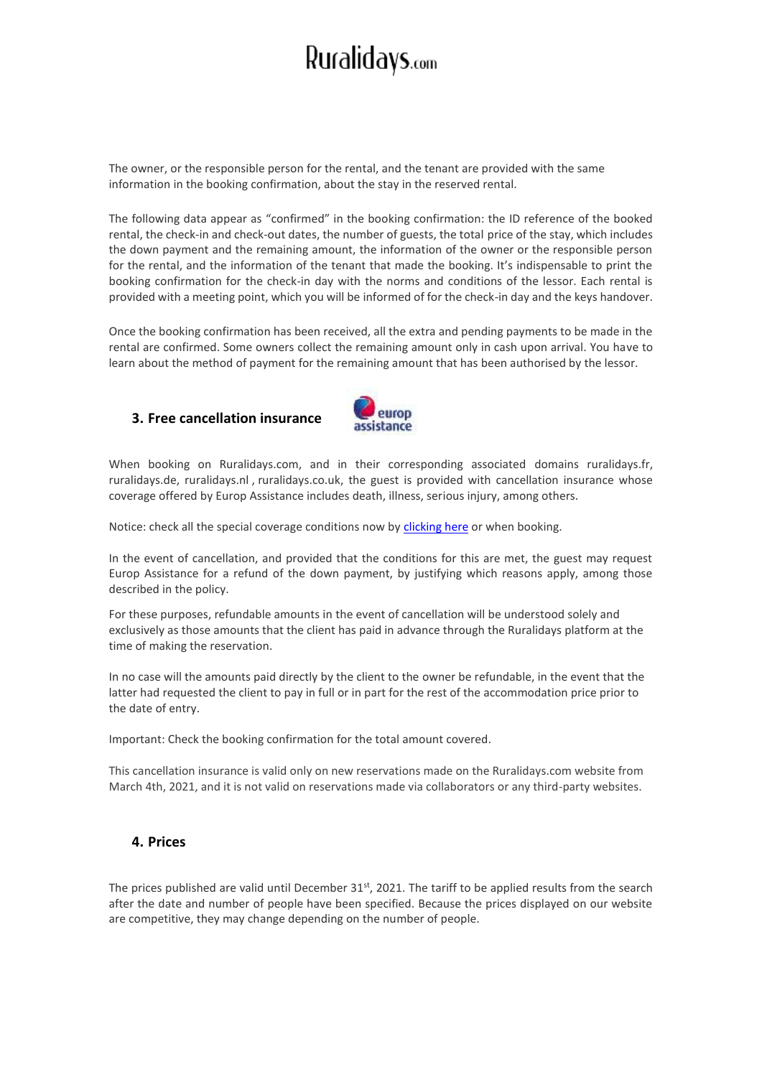The owner, or the responsible person for the rental, and the tenant are provided with the same information in the booking confirmation, about the stay in the reserved rental.

The following data appear as "confirmed" in the booking confirmation: the ID reference of the booked rental, the check-in and check-out dates, the number of guests, the total price of the stay, which includes the down payment and the remaining amount, the information of the owner or the responsible person for the rental, and the information of the tenant that made the booking. It's indispensable to print the booking confirmation for the check-in day with the norms and conditions of the lessor. Each rental is provided with a meeting point, which you will be informed of for the check-in day and the keys handover.

Once the booking confirmation has been received, all the extra and pending payments to be made in the rental are confirmed. Some owners collect the remaining amount only in cash upon arrival. You have to learn about the method of payment for the remaining amount that has been authorised by the lessor.

#### **3. Free cancellation insurance**



When booking on Ruralidays.com, and in their corresponding associated domains ruralidays.fr, ruralidays.de, [ruralidays.nl](http://ruralidays.nl/) , [ruralidays.co.uk,](http://ruralidays.co.uk/) the guest is provided with cancellation insurance whose coverage offered by Europ Assistance includes death, illness, serious injury, among others.

Notice: check all the special coverage conditions now by [clicking here](https://www.ruralidays.co.uk/media/system/files/europ_assistance/COBERTURAS_EUROP_ASSISTANCE_EN.pdf) or when booking.

In the event of cancellation, and provided that the conditions for this are met, the guest may request Europ Assistance for a refund of the down payment, by justifying which reasons apply, among those described in the policy.

For these purposes, refundable amounts in the event of cancellation will be understood solely and exclusively as those amounts that the client has paid in advance through the Ruralidays platform at the time of making the reservation.

In no case will the amounts paid directly by the client to the owner be refundable, in the event that the latter had requested the client to pay in full or in part for the rest of the accommodation price prior to the date of entry.

Important: Check the booking confirmation for the total amount covered.

This cancellation insurance is valid only on new reservations made on the Ruralidays.com website from March 4th, 2021, and it is not valid on reservations made via collaborators or any third-party websites.

### **4. Prices**

The prices published are valid until December 31<sup>st</sup>, 2021. The tariff to be applied results from the search after the date and number of people have been specified. Because the prices displayed on our website are competitive, they may change depending on the number of people.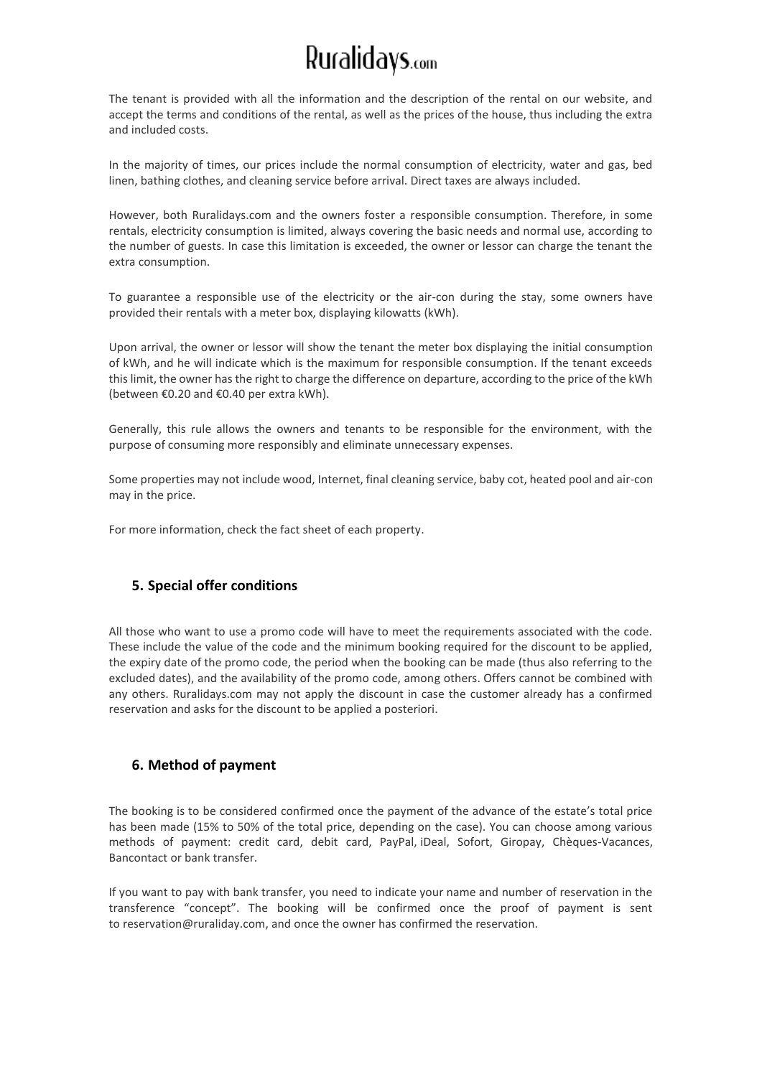The tenant is provided with all the information and the description of the rental on our website, and accept the terms and conditions of the rental, as well as the prices of the house, thus including the extra and included costs.

In the majority of times, our prices include the normal consumption of electricity, water and gas, bed linen, bathing clothes, and cleaning service before arrival. Direct taxes are always included.

However, both Ruralidays.com and the owners foster a responsible consumption. Therefore, in some rentals, electricity consumption is limited, always covering the basic needs and normal use, according to the number of guests. In case this limitation is exceeded, the owner or lessor can charge the tenant the extra consumption.

To guarantee a responsible use of the electricity or the air-con during the stay, some owners have provided their rentals with a meter box, displaying kilowatts (kWh).

Upon arrival, the owner or lessor will show the tenant the meter box displaying the initial consumption of kWh, and he will indicate which is the maximum for responsible consumption. If the tenant exceeds this limit, the owner has the right to charge the difference on departure, according to the price of the kWh (between €0.20 and €0.40 per extra kWh).

Generally, this rule allows the owners and tenants to be responsible for the environment, with the purpose of consuming more responsibly and eliminate unnecessary expenses.

Some properties may not include wood, Internet, final cleaning service, baby cot, heated pool and air-con may in the price.

For more information, check the fact sheet of each property.

### **5. Special offer conditions**

All those who want to use a promo code will have to meet the requirements associated with the code. These include the value of the code and the minimum booking required for the discount to be applied, the expiry date of the promo code, the period when the booking can be made (thus also referring to the excluded dates), and the availability of the promo code, among others. Offers cannot be combined with any others. Ruralidays.com may not apply the discount in case the customer already has a confirmed reservation and asks for the discount to be applied a posteriori.

#### **6. Method of payment**

The booking is to be considered confirmed once the payment of the advance of the estate's total price has been made (15% to 50% of the total price, depending on the case). You can choose among various methods of payment: credit card, debit card, PayPal, iDeal, Sofort, Giropay, Chèques-Vacances, Bancontact or bank transfer.

If you want to pay with bank transfer, you need to indicate your name and number of reservation in the transference "concept". The booking will be confirmed once the proof of payment is sent to [reservation@ruraliday.com,](mailto:reservation@ruraliday.com) and once the owner has confirmed the reservation.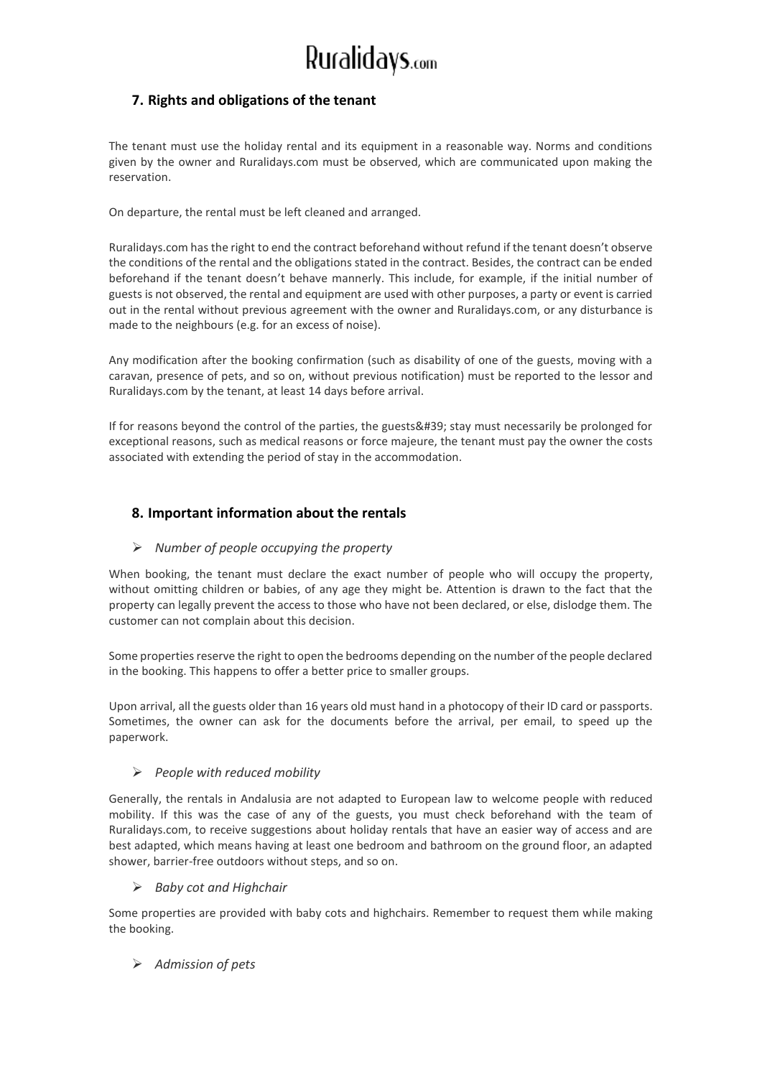## **7. Rights and obligations of the tenant**

The tenant must use the holiday rental and its equipment in a reasonable way. Norms and conditions given by the owner and Ruralidays.com must be observed, which are communicated upon making the reservation.

On departure, the rental must be left cleaned and arranged.

Ruralidays.com has the right to end the contract beforehand without refund if the tenant doesn't observe the conditions of the rental and the obligations stated in the contract. Besides, the contract can be ended beforehand if the tenant doesn't behave mannerly. This include, for example, if the initial number of guests is not observed, the rental and equipment are used with other purposes, a party or event is carried out in the rental without previous agreement with the owner and Ruralidays.com, or any disturbance is made to the neighbours (e.g. for an excess of noise).

Any modification after the booking confirmation (such as disability of one of the guests, moving with a caravan, presence of pets, and so on, without previous notification) must be reported to the lessor and Ruralidays.com by the tenant, at least 14 days before arrival.

If for reasons beyond the control of the parties, the guests' stay must necessarily be prolonged for exceptional reasons, such as medical reasons or force majeure, the tenant must pay the owner the costs associated with extending the period of stay in the accommodation.

## **8. Important information about the rentals**

#### ➢ *Number of people occupying the property*

When booking, the tenant must declare the exact number of people who will occupy the property, without omitting children or babies, of any age they might be. Attention is drawn to the fact that the property can legally prevent the access to those who have not been declared, or else, dislodge them. The customer can not complain about this decision.

Some properties reserve the right to open the bedrooms depending on the number of the people declared in the booking. This happens to offer a better price to smaller groups.

Upon arrival, all the guests older than 16 years old must hand in a photocopy of their ID card or passports. Sometimes, the owner can ask for the documents before the arrival, per email, to speed up the paperwork.

#### ➢ *People with reduced mobility*

Generally, the rentals in Andalusia are not adapted to European law to welcome people with reduced mobility. If this was the case of any of the guests, you must check beforehand with the team of Ruralidays.com, to receive suggestions about holiday rentals that have an easier way of access and are best adapted, which means having at least one bedroom and bathroom on the ground floor, an adapted shower, barrier-free outdoors without steps, and so on.

#### ➢ *Baby cot and Highchair*

Some properties are provided with baby cots and highchairs. Remember to request them while making the booking.

#### ➢ *Admission of pets*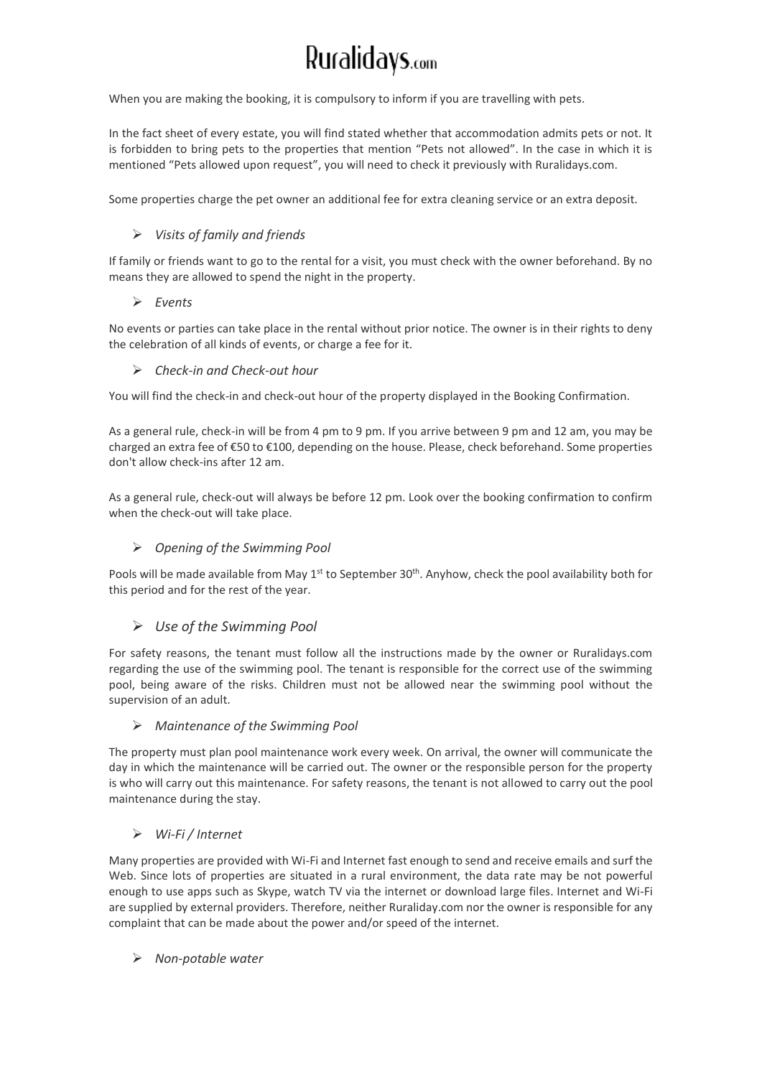When you are making the booking, it is compulsory to inform if you are travelling with pets.

In the fact sheet of every estate, you will find stated whether that accommodation admits pets or not. It is forbidden to bring pets to the properties that mention "Pets not allowed". In the case in which it is mentioned "Pets allowed upon request", you will need to check it previously with Ruralidays.com.

Some properties charge the pet owner an additional fee for extra cleaning service or an extra deposit.

#### ➢ *Visits of family and friends*

If family or friends want to go to the rental for a visit, you must check with the owner beforehand. By no means they are allowed to spend the night in the property.

#### ➢ *Events*

No events or parties can take place in the rental without prior notice. The owner is in their rights to deny the celebration of all kinds of events, or charge a fee for it.

#### ➢ *Check-in and Check-out hour*

You will find the check-in and check-out hour of the property displayed in the Booking Confirmation.

As a general rule, check-in will be from 4 pm to 9 pm. If you arrive between 9 pm and 12 am, you may be charged an extra fee of €50 to €100, depending on the house. Please, check beforehand. Some properties don't allow check-ins after 12 am.

As a general rule, check-out will always be before 12 pm. Look over the booking confirmation to confirm when the check-out will take place.

#### ➢ *Opening of the Swimming Pool*

Pools will be made available from May 1<sup>st</sup> to September 30<sup>th</sup>. Anyhow, check the pool availability both for this period and for the rest of the year.

#### ➢ *Use of the Swimming Pool*

For safety reasons, the tenant must follow all the instructions made by the owner or Ruralidays.com regarding the use of the swimming pool. The tenant is responsible for the correct use of the swimming pool, being aware of the risks. Children must not be allowed near the swimming pool without the supervision of an adult.

#### ➢ *Maintenance of the Swimming Pool*

The property must plan pool maintenance work every week. On arrival, the owner will communicate the day in which the maintenance will be carried out. The owner or the responsible person for the property is who will carry out this maintenance. For safety reasons, the tenant is not allowed to carry out the pool maintenance during the stay.

### ➢ *Wi-Fi / Internet*

Many properties are provided with Wi-Fi and Internet fast enough to send and receive emails and surf the Web. Since lots of properties are situated in a rural environment, the data rate may be not powerful enough to use apps such as Skype, watch TV via the internet or download large files. Internet and Wi-Fi are supplied by external providers. Therefore, neither Ruraliday.com nor the owner is responsible for any complaint that can be made about the power and/or speed of the internet.

#### ➢ *Non-potable water*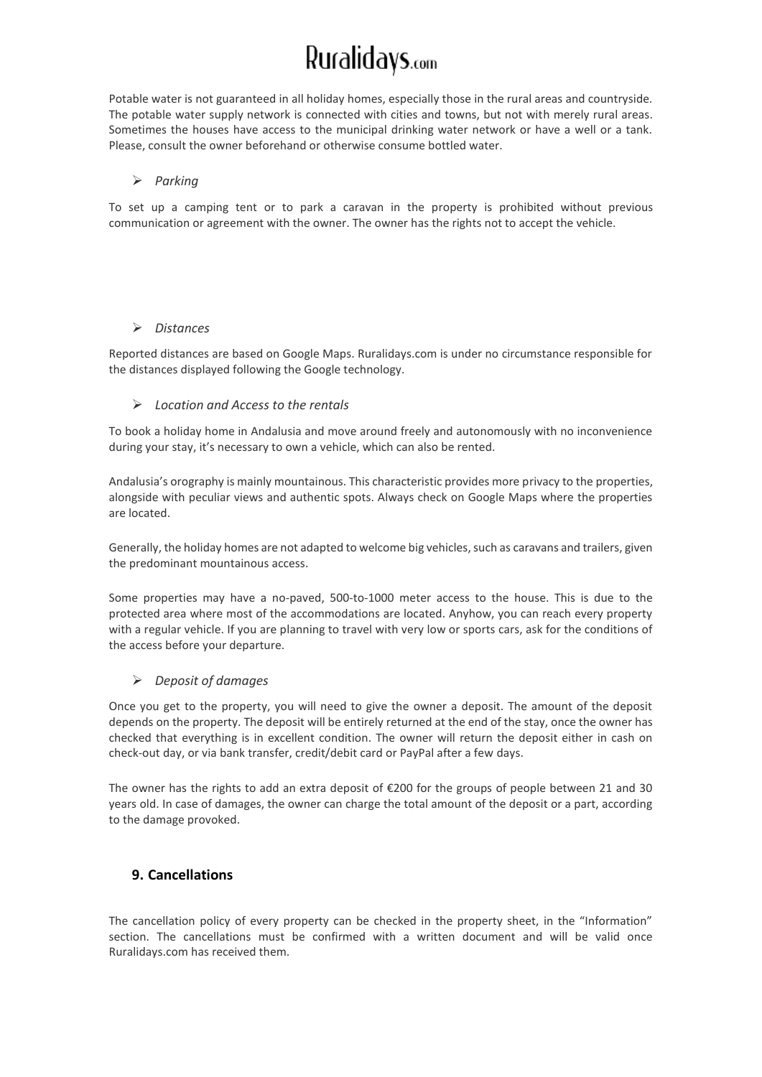Potable water is not guaranteed in all holiday homes, especially those in the rural areas and countryside. The potable water supply network is connected with cities and towns, but not with merely rural areas. Sometimes the houses have access to the municipal drinking water network or have a well or a tank. Please, consult the owner beforehand or otherwise consume bottled water.

#### ➢ *Parking*

To set up a camping tent or to park a caravan in the property is prohibited without previous communication or agreement with the owner. The owner has the rights not to accept the vehicle.

#### ➢ *Distances*

Reported distances are based on Google Maps. Ruralidays.com is under no circumstance responsible for the distances displayed following the Google technology.

#### ➢ *Location and Access to the rentals*

To book a holiday home in Andalusia and move around freely and autonomously with no inconvenience during your stay, it's necessary to own a vehicle, which can also be rented.

Andalusia's orography is mainly mountainous. This characteristic provides more privacy to the properties, alongside with peculiar views and authentic spots. Always check on Google Maps where the properties are located.

Generally, the holiday homes are not adapted to welcome big vehicles, such as caravans and trailers, given the predominant mountainous access.

Some properties may have a no-paved, 500-to-1000 meter access to the house. This is due to the protected area where most of the accommodations are located. Anyhow, you can reach every property with a regular vehicle. If you are planning to travel with very low or sports cars, ask for the conditions of the access before your departure.

#### ➢ *Deposit of damages*

Once you get to the property, you will need to give the owner a deposit. The amount of the deposit depends on the property. The deposit will be entirely returned at the end of the stay, once the owner has checked that everything is in excellent condition. The owner will return the deposit either in cash on check-out day, or via bank transfer, credit/debit card or PayPal after a few days.

The owner has the rights to add an extra deposit of €200 for the groups of people between 21 and 30 years old. In case of damages, the owner can charge the total amount of the deposit or a part, according to the damage provoked.

## **9. Cancellations**

The cancellation policy of every property can be checked in the property sheet, in the "Information" section. The cancellations must be confirmed with a written document and will be valid once Ruralidays.com has received them.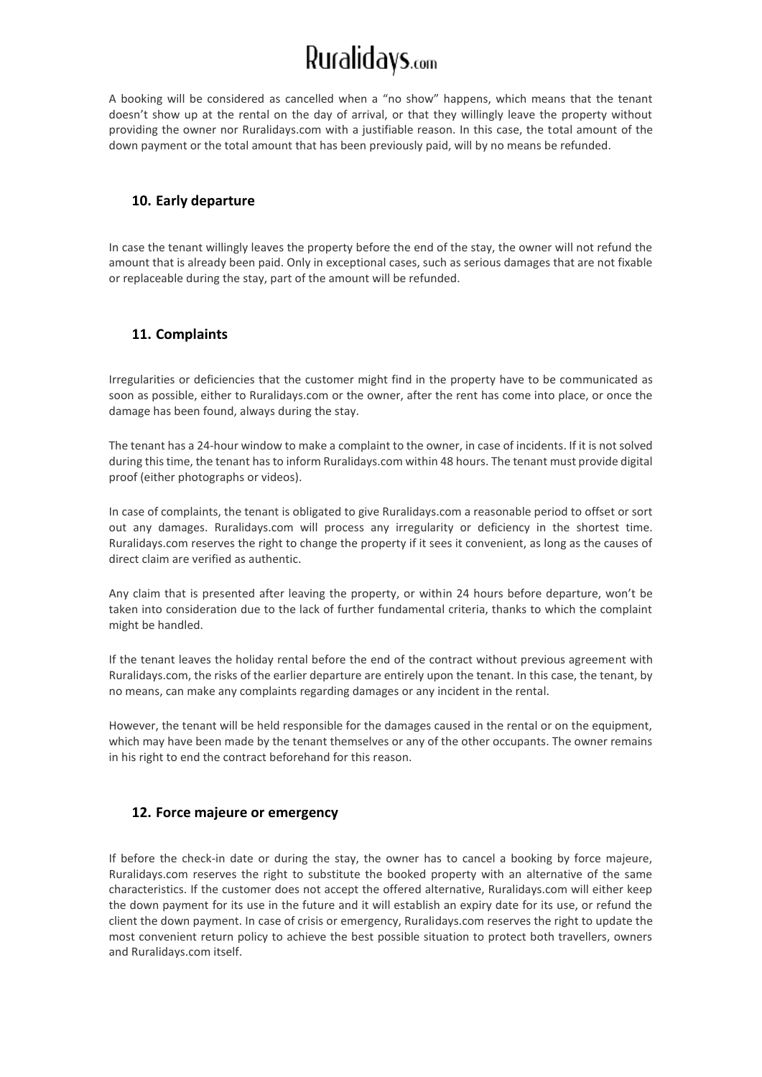A booking will be considered as cancelled when a "no show" happens, which means that the tenant doesn't show up at the rental on the day of arrival, or that they willingly leave the property without providing the owner nor Ruralidays.com with a justifiable reason. In this case, the total amount of the down payment or the total amount that has been previously paid, will by no means be refunded.

### **10. Early departure**

In case the tenant willingly leaves the property before the end of the stay, the owner will not refund the amount that is already been paid. Only in exceptional cases, such as serious damages that are not fixable or replaceable during the stay, part of the amount will be refunded.

## **11. Complaints**

Irregularities or deficiencies that the customer might find in the property have to be communicated as soon as possible, either to Ruralidays.com or the owner, after the rent has come into place, or once the damage has been found, always during the stay.

The tenant has a 24-hour window to make a complaint to the owner, in case of incidents. If it is not solved during this time, the tenant has to inform Ruralidays.com within 48 hours. The tenant must provide digital proof (either photographs or videos).

In case of complaints, the tenant is obligated to give Ruralidays.com a reasonable period to offset or sort out any damages. Ruralidays.com will process any irregularity or deficiency in the shortest time. Ruralidays.com reserves the right to change the property if it sees it convenient, as long as the causes of direct claim are verified as authentic.

Any claim that is presented after leaving the property, or within 24 hours before departure, won't be taken into consideration due to the lack of further fundamental criteria, thanks to which the complaint might be handled.

If the tenant leaves the holiday rental before the end of the contract without previous agreement with Ruralidays.com, the risks of the earlier departure are entirely upon the tenant. In this case, the tenant, by no means, can make any complaints regarding damages or any incident in the rental.

However, the tenant will be held responsible for the damages caused in the rental or on the equipment, which may have been made by the tenant themselves or any of the other occupants. The owner remains in his right to end the contract beforehand for this reason.

### **12. Force majeure or emergency**

If before the check-in date or during the stay, the owner has to cancel a booking by force majeure, Ruralidays.com reserves the right to substitute the booked property with an alternative of the same characteristics. If the customer does not accept the offered alternative, Ruralidays.com will either keep the down payment for its use in the future and it will establish an expiry date for its use, or refund the client the down payment. In case of crisis or emergency, Ruralidays.com reserves the right to update the most convenient return policy to achieve the best possible situation to protect both travellers, owners and Ruralidays.com itself.